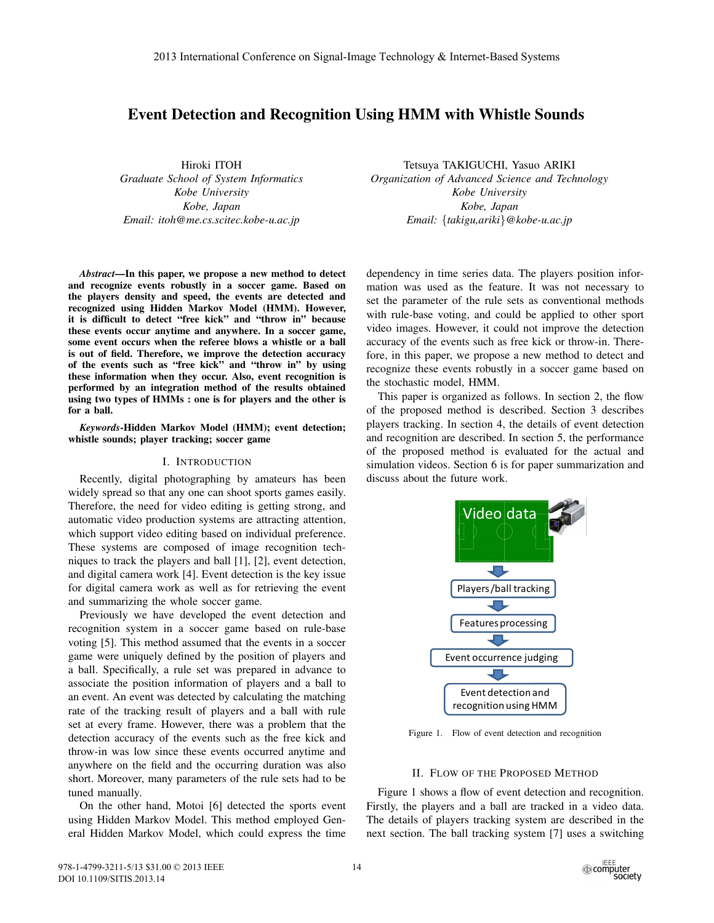# Event Detection and Recognition Using HMM with Whistle Sounds

Hiroki ITOH *Graduate School of System Informatics Kobe University Kobe, Japan Email: itoh@me.cs.scitec.kobe-u.ac.jp*

*Abstract*—In this paper, we propose a new method to detect and recognize events robustly in a soccer game. Based on the players density and speed, the events are detected and recognized using Hidden Markov Model (HMM). However, it is difficult to detect "free kick" and "throw in" because these events occur anytime and anywhere. In a soccer game, some event occurs when the referee blows a whistle or a ball is out of field. Therefore, we improve the detection accuracy of the events such as "free kick" and "throw in" by using these information when they occur. Also, event recognition is performed by an integration method of the results obtained using two types of HMMs : one is for players and the other is for a ball.

*Keywords*-Hidden Markov Model (HMM); event detection; whistle sounds; player tracking; soccer game

### I. INTRODUCTION

Recently, digital photographing by amateurs has been widely spread so that any one can shoot sports games easily. Therefore, the need for video editing is getting strong, and automatic video production systems are attracting attention, which support video editing based on individual preference. These systems are composed of image recognition techniques to track the players and ball [1], [2], event detection, and digital camera work [4]. Event detection is the key issue for digital camera work as well as for retrieving the event and summarizing the whole soccer game.

Previously we have developed the event detection and recognition system in a soccer game based on rule-base voting [5]. This method assumed that the events in a soccer game were uniquely defined by the position of players and a ball. Specifically, a rule set was prepared in advance to associate the position information of players and a ball to an event. An event was detected by calculating the matching rate of the tracking result of players and a ball with rule set at every frame. However, there was a problem that the detection accuracy of the events such as the free kick and throw-in was low since these events occurred anytime and anywhere on the field and the occurring duration was also short. Moreover, many parameters of the rule sets had to be tuned manually.

On the other hand, Motoi [6] detected the sports event using Hidden Markov Model. This method employed General Hidden Markov Model, which could express the time

Tetsuya TAKIGUCHI, Yasuo ARIKI *Organization of Advanced Science and Technology*

*Kobe University Kobe, Japan Email:* {*takigu,ariki*}*@kobe-u.ac.jp*

dependency in time series data. The players position information was used as the feature. It was not necessary to set the parameter of the rule sets as conventional methods with rule-base voting, and could be applied to other sport video images. However, it could not improve the detection accuracy of the events such as free kick or throw-in. Therefore, in this paper, we propose a new method to detect and recognize these events robustly in a soccer game based on the stochastic model, HMM.

This paper is organized as follows. In section 2, the flow of the proposed method is described. Section 3 describes players tracking. In section 4, the details of event detection and recognition are described. In section 5, the performance of the proposed method is evaluated for the actual and simulation videos. Section 6 is for paper summarization and discuss about the future work.



Figure 1. Flow of event detection and recognition

### II. FLOW OF THE PROPOSED METHOD

Figure 1 shows a flow of event detection and recognition. Firstly, the players and a ball are tracked in a video data. The details of players tracking system are described in the next section. The ball tracking system [7] uses a switching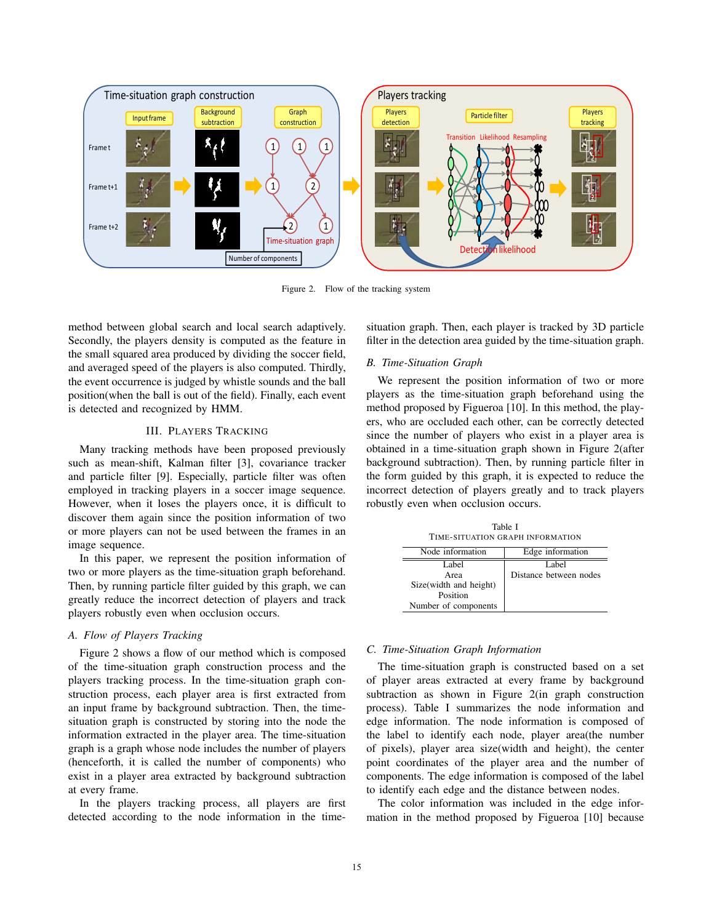

Figure 2. Flow of the tracking system

method between global search and local search adaptively. Secondly, the players density is computed as the feature in the small squared area produced by dividing the soccer field, and averaged speed of the players is also computed. Thirdly, the event occurrence is judged by whistle sounds and the ball position(when the ball is out of the field). Finally, each event is detected and recognized by HMM.

### III. PLAYERS TRACKING

Many tracking methods have been proposed previously such as mean-shift, Kalman filter [3], covariance tracker and particle filter [9]. Especially, particle filter was often employed in tracking players in a soccer image sequence. However, when it loses the players once, it is difficult to discover them again since the position information of two or more players can not be used between the frames in an image sequence.

In this paper, we represent the position information of two or more players as the time-situation graph beforehand. Then, by running particle filter guided by this graph, we can greatly reduce the incorrect detection of players and track players robustly even when occlusion occurs.

### *A. Flow of Players Tracking*

Figure 2 shows a flow of our method which is composed of the time-situation graph construction process and the players tracking process. In the time-situation graph construction process, each player area is first extracted from an input frame by background subtraction. Then, the timesituation graph is constructed by storing into the node the information extracted in the player area. The time-situation graph is a graph whose node includes the number of players (henceforth, it is called the number of components) who exist in a player area extracted by background subtraction at every frame.

In the players tracking process, all players are first detected according to the node information in the timesituation graph. Then, each player is tracked by 3D particle filter in the detection area guided by the time-situation graph.

#### *B. Time-Situation Graph*

We represent the position information of two or more players as the time-situation graph beforehand using the method proposed by Figueroa [10]. In this method, the players, who are occluded each other, can be correctly detected since the number of players who exist in a player area is obtained in a time-situation graph shown in Figure 2(after background subtraction). Then, by running particle filter in the form guided by this graph, it is expected to reduce the incorrect detection of players greatly and to track players robustly even when occlusion occurs.

| Table I<br>TIME-SITUATION GRAPH INFORMATION |                        |  |
|---------------------------------------------|------------------------|--|
| Node information                            | Edge information       |  |
| Label                                       | Label                  |  |
| Area                                        | Distance between nodes |  |
| Size(width and height)<br>Position          |                        |  |

### *C. Time-Situation Graph Information*

Number of components

The time-situation graph is constructed based on a set of player areas extracted at every frame by background subtraction as shown in Figure 2(in graph construction process). Table I summarizes the node information and edge information. The node information is composed of the label to identify each node, player area(the number of pixels), player area size(width and height), the center point coordinates of the player area and the number of components. The edge information is composed of the label to identify each edge and the distance between nodes.

The color information was included in the edge information in the method proposed by Figueroa [10] because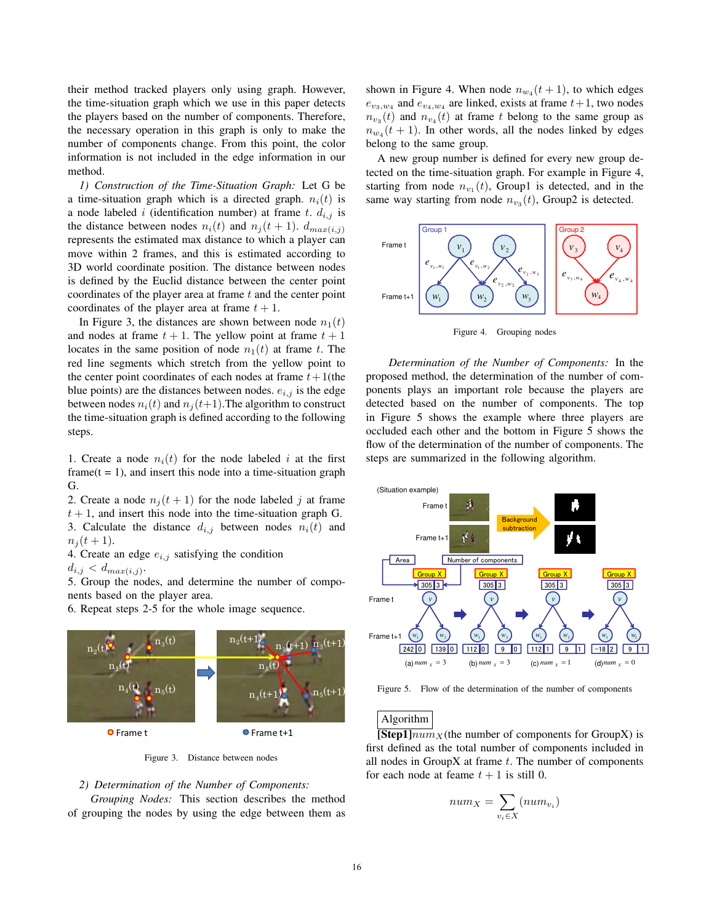their method tracked players only using graph. However, the time-situation graph which we use in this paper detects the players based on the number of components. Therefore, the necessary operation in this graph is only to make the number of components change. From this point, the color information is not included in the edge information in our method.

*1) Construction of the Time-Situation Graph:* Let G be a time-situation graph which is a directed graph.  $n_i(t)$  is a node labeled i (identification number) at frame t.  $d_{i,j}$  is the distance between nodes  $n_i(t)$  and  $n_j(t + 1)$ .  $d_{max(i,j)}$ represents the estimated max distance to which a player can move within 2 frames, and this is estimated according to 3D world coordinate position. The distance between nodes is defined by the Euclid distance between the center point coordinates of the player area at frame  $t$  and the center point coordinates of the player area at frame  $t + 1$ .

In Figure 3, the distances are shown between node  $n_1(t)$ and nodes at frame  $t + 1$ . The yellow point at frame  $t + 1$ locates in the same position of node  $n_1(t)$  at frame t. The red line segments which stretch from the yellow point to the center point coordinates of each nodes at frame  $t+1$ (the blue points) are the distances between nodes.  $e_{i,j}$  is the edge between nodes  $n_i(t)$  and  $n_j(t+1)$ . The algorithm to construct the time-situation graph is defined according to the following steps.

1. Create a node  $n_i(t)$  for the node labeled i at the first frame( $t = 1$ ), and insert this node into a time-situation graph G.

2. Create a node  $n_j(t + 1)$  for the node labeled j at frame  $t + 1$ , and insert this node into the time-situation graph G. 3. Calculate the distance  $d_{i,j}$  between nodes  $n_i(t)$  and  $n_i (t + 1).$ 

4. Create an edge  $e_{i,j}$  satisfying the condition

 $d_{i,j} < d_{max(i,j)}$ .

5. Group the nodes, and determine the number of components based on the player area.

6. Repeat steps 2-5 for the whole image sequence.



Figure 3. Distance between nodes

#### *2) Determination of the Number of Components:*

*Grouping Nodes:* This section describes the method of grouping the nodes by using the edge between them as

shown in Figure 4. When node  $n_{w_4}(t + 1)$ , to which edges  $e_{v_3,w_4}$  and  $e_{v_4,w_4}$  are linked, exists at frame  $t+1$ , two nodes  $n_{v_3}(t)$  and  $n_{v_4}(t)$  at frame t belong to the same group as  $n_{w_4}(t + 1)$ . In other words, all the nodes linked by edges belong to the same group.

A new group number is defined for every new group detected on the time-situation graph. For example in Figure 4, starting from node  $n_{v_1}(t)$ , Group1 is detected, and in the same way starting from node  $n_{v_3}(t)$ , Group2 is detected.



Figure 4. Grouping nodes

*Determination of the Number of Components:* In the proposed method, the determination of the number of components plays an important role because the players are detected based on the number of components. The top in Figure 5 shows the example where three players are occluded each other and the bottom in Figure 5 shows the flow of the determination of the number of components. The steps are summarized in the following algorithm.



Figure 5. Flow of the determination of the number of components

Algorithm

 $[Step 1] num_X$ (the number of components for GroupX) is first defined as the total number of components included in all nodes in GroupX at frame  $t$ . The number of components for each node at feame  $t + 1$  is still 0.

$$
num_X = \sum_{v_i \in X} (num_{v_i})
$$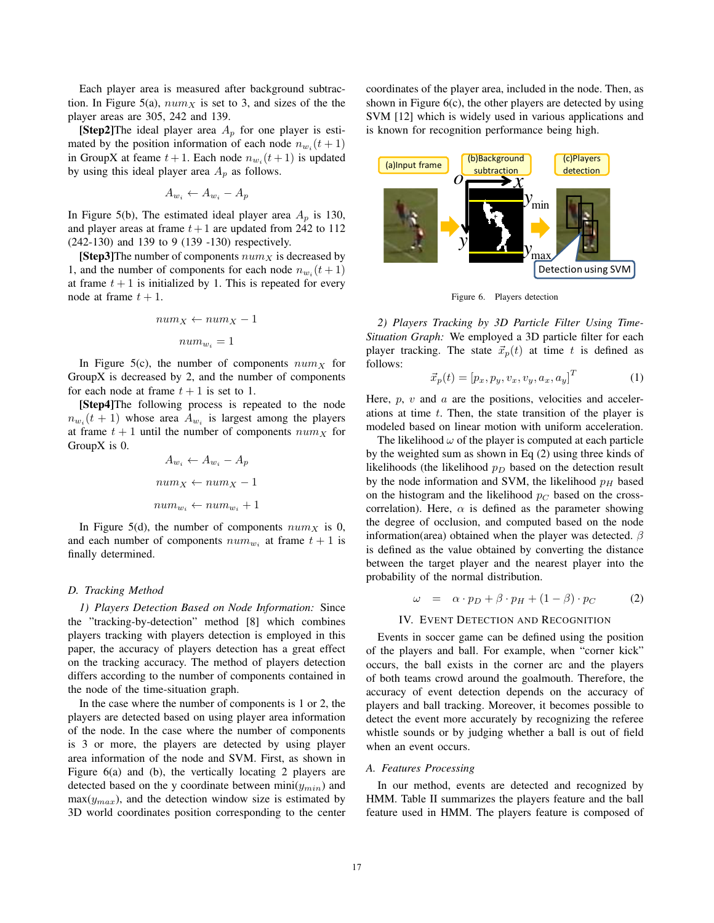Each player area is measured after background subtraction. In Figure 5(a),  $num_X$  is set to 3, and sizes of the the player areas are 305, 242 and 139.

**[Step2]**The ideal player area  $A_p$  for one player is estimated by the position information of each node  $n_{w_i}(t+1)$ in GroupX at feame  $t + 1$ . Each node  $n_{w_i}(t + 1)$  is updated by using this ideal player area  $A_p$  as follows.

$$
A_{w_i} \leftarrow A_{w_i} - A_p
$$

In Figure 5(b), The estimated ideal player area  $A_p$  is 130, and player areas at frame  $t+1$  are updated from 242 to 112 (242-130) and 139 to 9 (139 -130) respectively.

[Step3]The number of components  $num_X$  is decreased by 1, and the number of components for each node  $n_{w_i}(t+1)$ at frame  $t + 1$  is initialized by 1. This is repeated for every node at frame  $t + 1$ .

$$
num_X \leftarrow num_X - 1
$$

$$
num_{w_i} = 1
$$

In Figure 5(c), the number of components  $num_X$  for GroupX is decreased by 2, and the number of components for each node at frame  $t + 1$  is set to 1.

[Step4]The following process is repeated to the node  $n_{w_i}(t + 1)$  whose area  $A_{w_i}$  is largest among the players at frame  $t + 1$  until the number of components  $num<sub>X</sub>$  for GroupX is 0.

$$
A_{w_i} \leftarrow A_{w_i} - A_p
$$
  
\n
$$
num_X \leftarrow num_X - 1
$$
  
\n
$$
num_{w_i} \leftarrow num_{w_i} + 1
$$

In Figure 5(d), the number of components  $num<sub>X</sub>$  is 0, and each number of components  $num_{w_i}$  at frame  $t + 1$  is finally determined.

#### *D. Tracking Method*

*1) Players Detection Based on Node Information:* Since the "tracking-by-detection" method [8] which combines players tracking with players detection is employed in this paper, the accuracy of players detection has a great effect on the tracking accuracy. The method of players detection differs according to the number of components contained in the node of the time-situation graph.

In the case where the number of components is 1 or 2, the players are detected based on using player area information of the node. In the case where the number of components is 3 or more, the players are detected by using player area information of the node and SVM. First, as shown in Figure 6(a) and (b), the vertically locating 2 players are detected based on the y coordinate between  $min(y_{min})$  and  $max(y_{max})$ , and the detection window size is estimated by 3D world coordinates position corresponding to the center coordinates of the player area, included in the node. Then, as shown in Figure 6(c), the other players are detected by using SVM [12] which is widely used in various applications and is known for recognition performance being high.



Figure 6. Players detection

*2) Players Tracking by 3D Particle Filter Using Time-Situation Graph:* We employed a 3D particle filter for each player tracking. The state  $\vec{x}_p(t)$  at time t is defined as follows:

$$
\vec{x}_p(t) = [p_x, p_y, v_x, v_y, a_x, a_y]^T
$$
 (1)

Here,  $p$ ,  $v$  and  $a$  are the positions, velocities and accelerations at time  $t$ . Then, the state transition of the player is modeled based on linear motion with uniform acceleration.

The likelihood  $\omega$  of the player is computed at each particle by the weighted sum as shown in Eq (2) using three kinds of likelihoods (the likelihood  $p_D$  based on the detection result by the node information and SVM, the likelihood  $p_H$  based on the histogram and the likelihood  $p<sub>C</sub>$  based on the crosscorrelation). Here,  $\alpha$  is defined as the parameter showing the degree of occlusion, and computed based on the node information(area) obtained when the player was detected.  $\beta$ is defined as the value obtained by converting the distance between the target player and the nearest player into the probability of the normal distribution.

$$
\omega = \alpha \cdot p_D + \beta \cdot p_H + (1 - \beta) \cdot p_C \tag{2}
$$

### IV. EVENT DETECTION AND RECOGNITION

Events in soccer game can be defined using the position of the players and ball. For example, when "corner kick" occurs, the ball exists in the corner arc and the players of both teams crowd around the goalmouth. Therefore, the accuracy of event detection depends on the accuracy of players and ball tracking. Moreover, it becomes possible to detect the event more accurately by recognizing the referee whistle sounds or by judging whether a ball is out of field when an event occurs.

#### *A. Features Processing*

In our method, events are detected and recognized by HMM. Table II summarizes the players feature and the ball feature used in HMM. The players feature is composed of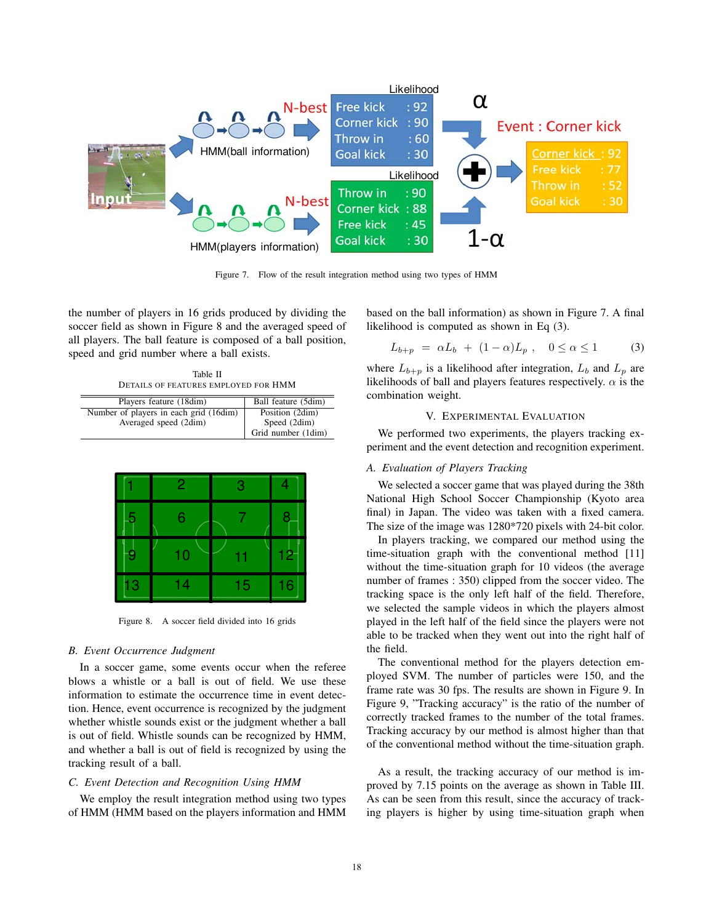

Figure 7. Flow of the result integration method using two types of HMM

the number of players in 16 grids produced by dividing the soccer field as shown in Figure 8 and the averaged speed of all players. The ball feature is composed of a ball position, speed and grid number where a ball exists.

Table II DETAILS OF FEATURES EMPLOYED FOR HMM

| Players feature (18dim)                | Ball feature (5dim) |
|----------------------------------------|---------------------|
| Number of players in each grid (16dim) | Position (2dim)     |
| Averaged speed (2dim)                  | Speed (2dim)        |
|                                        | Grid number (1dim)  |



Figure 8. A soccer field divided into 16 grids

#### *B. Event Occurrence Judgment*

In a soccer game, some events occur when the referee blows a whistle or a ball is out of field. We use these information to estimate the occurrence time in event detection. Hence, event occurrence is recognized by the judgment whether whistle sounds exist or the judgment whether a ball is out of field. Whistle sounds can be recognized by HMM, and whether a ball is out of field is recognized by using the tracking result of a ball.

## *C. Event Detection and Recognition Using HMM*

We employ the result integration method using two types of HMM (HMM based on the players information and HMM based on the ball information) as shown in Figure 7. A final likelihood is computed as shown in Eq (3).

$$
L_{b+p} = \alpha L_b + (1-\alpha)L_p, \quad 0 \le \alpha \le 1 \tag{3}
$$

where  $L_{b+p}$  is a likelihood after integration,  $L_b$  and  $L_p$  are likelihoods of ball and players features respectively.  $\alpha$  is the combination weight.

### V. EXPERIMENTAL EVALUATION

We performed two experiments, the players tracking experiment and the event detection and recognition experiment.

### *A. Evaluation of Players Tracking*

We selected a soccer game that was played during the 38th National High School Soccer Championship (Kyoto area final) in Japan. The video was taken with a fixed camera. The size of the image was 1280\*720 pixels with 24-bit color.

In players tracking, we compared our method using the time-situation graph with the conventional method [11] without the time-situation graph for 10 videos (the average number of frames : 350) clipped from the soccer video. The tracking space is the only left half of the field. Therefore, we selected the sample videos in which the players almost played in the left half of the field since the players were not able to be tracked when they went out into the right half of the field.

The conventional method for the players detection employed SVM. The number of particles were 150, and the frame rate was 30 fps. The results are shown in Figure 9. In Figure 9, "Tracking accuracy" is the ratio of the number of correctly tracked frames to the number of the total frames. Tracking accuracy by our method is almost higher than that of the conventional method without the time-situation graph.

As a result, the tracking accuracy of our method is improved by 7.15 points on the average as shown in Table III. As can be seen from this result, since the accuracy of tracking players is higher by using time-situation graph when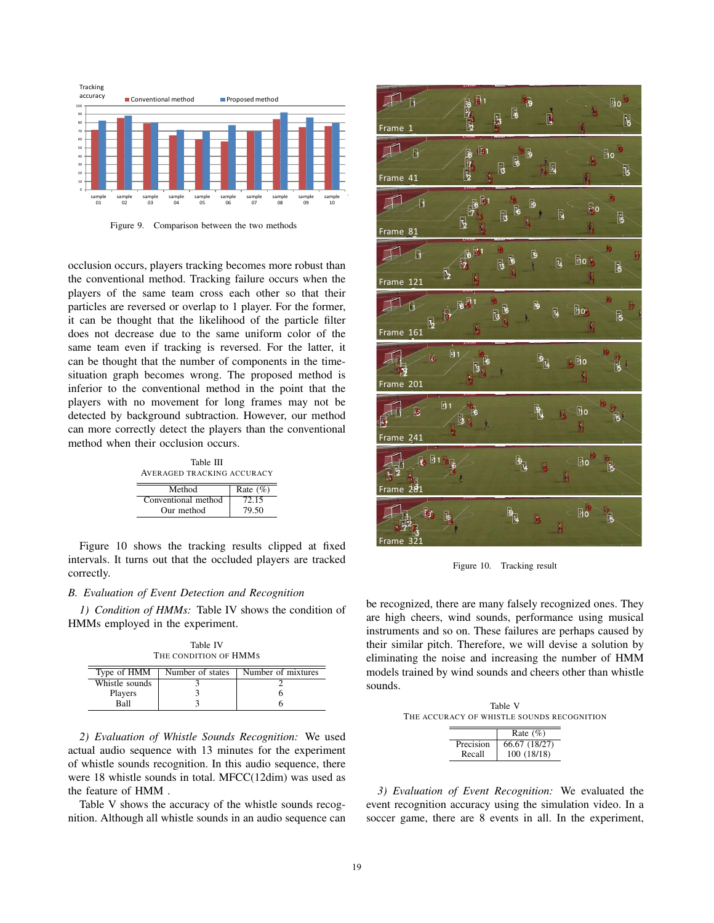

Figure 9. Comparison between the two methods

occlusion occurs, players tracking becomes more robust than the conventional method. Tracking failure occurs when the players of the same team cross each other so that their particles are reversed or overlap to 1 player. For the former, it can be thought that the likelihood of the particle filter does not decrease due to the same uniform color of the same team even if tracking is reversed. For the latter, it can be thought that the number of components in the timesituation graph becomes wrong. The proposed method is inferior to the conventional method in the point that the players with no movement for long frames may not be detected by background subtraction. However, our method can more correctly detect the players than the conventional method when their occlusion occurs.

| Table III                  |             |  |  |
|----------------------------|-------------|--|--|
| AVERAGED TRACKING ACCURACY |             |  |  |
| Method                     | Rate $(\%)$ |  |  |
| Conventional method        | 72.15       |  |  |
| Our method                 | 79.50       |  |  |

Figure 10 shows the tracking results clipped at fixed intervals. It turns out that the occluded players are tracked correctly.

#### *B. Evaluation of Event Detection and Recognition*

*1) Condition of HMMs:* Table IV shows the condition of HMMs employed in the experiment.

| Table IV<br>THE CONDITION OF HMMS |                  |                    |  |
|-----------------------------------|------------------|--------------------|--|
| Type of HMM                       | Number of states | Number of mixtures |  |
| Whistle sounds                    |                  |                    |  |
| Players                           |                  |                    |  |
| Rall                              |                  |                    |  |

*2) Evaluation of Whistle Sounds Recognition:* We used actual audio sequence with 13 minutes for the experiment of whistle sounds recognition. In this audio sequence, there were 18 whistle sounds in total. MFCC(12dim) was used as the feature of HMM .

Table V shows the accuracy of the whistle sounds recognition. Although all whistle sounds in an audio sequence can



Figure 10. Tracking result

be recognized, there are many falsely recognized ones. They are high cheers, wind sounds, performance using musical instruments and so on. These failures are perhaps caused by their similar pitch. Therefore, we will devise a solution by eliminating the noise and increasing the number of HMM models trained by wind sounds and cheers other than whistle sounds.

Table V THE ACCURACY OF WHISTLE SOUNDS RECOGNITION

|           | Rate $(\%)$   |
|-----------|---------------|
| Precision | 66.67 (18/27) |
| Recall    | 100 (18/18)   |

*3) Evaluation of Event Recognition:* We evaluated the event recognition accuracy using the simulation video. In a soccer game, there are 8 events in all. In the experiment,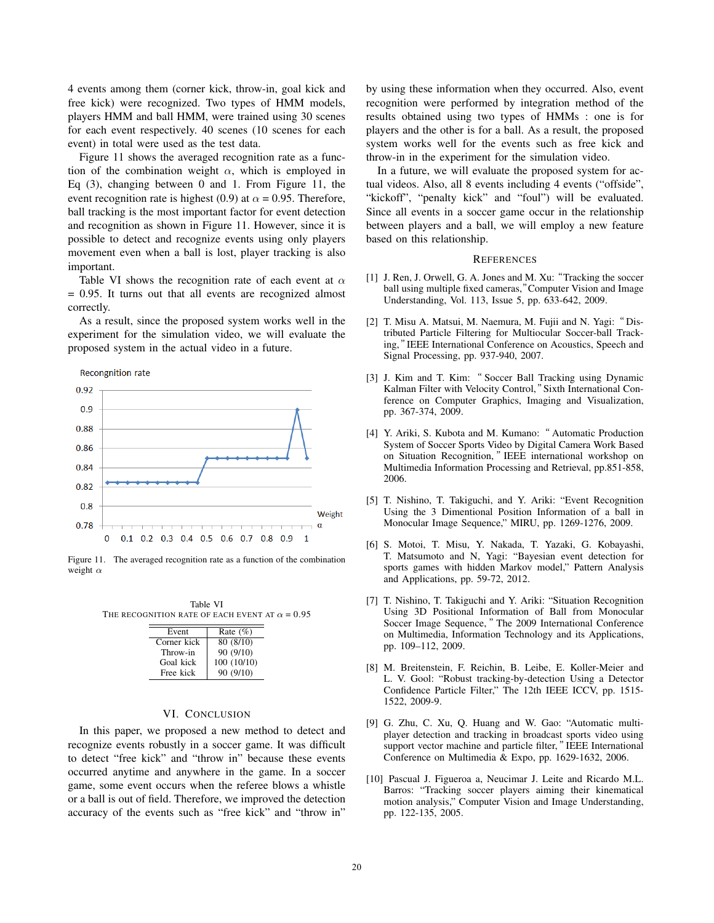4 events among them (corner kick, throw-in, goal kick and free kick) were recognized. Two types of HMM models, players HMM and ball HMM, were trained using 30 scenes for each event respectively. 40 scenes (10 scenes for each event) in total were used as the test data.

Figure 11 shows the averaged recognition rate as a function of the combination weight  $\alpha$ , which is employed in Eq (3), changing between 0 and 1. From Figure 11, the event recognition rate is highest (0.9) at  $\alpha$  = 0.95. Therefore, ball tracking is the most important factor for event detection and recognition as shown in Figure 11. However, since it is possible to detect and recognize events using only players movement even when a ball is lost, player tracking is also important.

Table VI shows the recognition rate of each event at  $\alpha$ = 0.95. It turns out that all events are recognized almost correctly.

As a result, since the proposed system works well in the experiment for the simulation video, we will evaluate the proposed system in the actual video in a future.





Figure 11. The averaged recognition rate as a function of the combination weight  $\alpha$ 

Table VI THE RECOGNITION RATE OF EACH EVENT AT  $\alpha = 0.95$ 

| Event       | Rate $(\%)$ |
|-------------|-------------|
| Corner kick | 80(8/10)    |
| Throw-in    | 90 (9/10)   |
| Goal kick   | 100(10/10)  |
| Free kick   | 90 (9/10)   |

#### VI. CONCLUSION

In this paper, we proposed a new method to detect and recognize events robustly in a soccer game. It was difficult to detect "free kick" and "throw in" because these events occurred anytime and anywhere in the game. In a soccer game, some event occurs when the referee blows a whistle or a ball is out of field. Therefore, we improved the detection accuracy of the events such as "free kick" and "throw in"

by using these information when they occurred. Also, event recognition were performed by integration method of the results obtained using two types of HMMs : one is for players and the other is for a ball. As a result, the proposed system works well for the events such as free kick and throw-in in the experiment for the simulation video.

In a future, we will evaluate the proposed system for actual videos. Also, all 8 events including 4 events ("offside", "kickoff", "penalty kick" and "foul") will be evaluated. Since all events in a soccer game occur in the relationship between players and a ball, we will employ a new feature based on this relationship.

#### **REFERENCES**

- [1] J. Ren, J. Orwell, G. A. Jones and M. Xu: "Tracking the soccer ball using multiple fixed cameras," Computer Vision and Image Understanding, Vol. 113, Issue 5, pp. 633-642, 2009.
- [2] T. Misu A. Matsui, M. Naemura, M. Fujii and N. Yagi: "Distributed Particle Filtering for Multiocular Soccer-ball Tracking," IEEE International Conference on Acoustics, Speech and Signal Processing, pp. 937-940, 2007.
- [3] J. Kim and T. Kim: "Soccer Ball Tracking using Dynamic Kalman Filter with Velocity Control," Sixth International Conference on Computer Graphics, Imaging and Visualization, pp. 367-374, 2009.
- [4] Y. Ariki, S. Kubota and M. Kumano: "Automatic Production System of Soccer Sports Video by Digital Camera Work Based on Situation Recognition," IEEE international workshop on Multimedia Information Processing and Retrieval, pp.851-858, 2006.
- [5] T. Nishino, T. Takiguchi, and Y. Ariki: "Event Recognition Using the 3 Dimentional Position Information of a ball in Monocular Image Sequence," MIRU, pp. 1269-1276, 2009.
- [6] S. Motoi, T. Misu, Y. Nakada, T. Yazaki, G. Kobayashi, T. Matsumoto and N, Yagi: "Bayesian event detection for sports games with hidden Markov model," Pattern Analysis and Applications, pp. 59-72, 2012.
- [7] T. Nishino, T. Takiguchi and Y. Ariki: "Situation Recognition Using 3D Positional Information of Ball from Monocular Soccer Image Sequence, "The 2009 International Conference on Multimedia, Information Technology and its Applications, pp. 109–112, 2009.
- [8] M. Breitenstein, F. Reichin, B. Leibe, E. Koller-Meier and L. V. Gool: "Robust tracking-by-detection Using a Detector Confidence Particle Filter," The 12th IEEE ICCV, pp. 1515- 1522, 2009-9.
- [9] G. Zhu, C. Xu, Q. Huang and W. Gao: "Automatic multiplayer detection and tracking in broadcast sports video using support vector machine and particle filter," IEEE International Conference on Multimedia & Expo, pp. 1629-1632, 2006.
- [10] Pascual J. Figueroa a, Neucimar J. Leite and Ricardo M.L. Barros: "Tracking soccer players aiming their kinematical motion analysis," Computer Vision and Image Understanding, pp. 122-135, 2005.